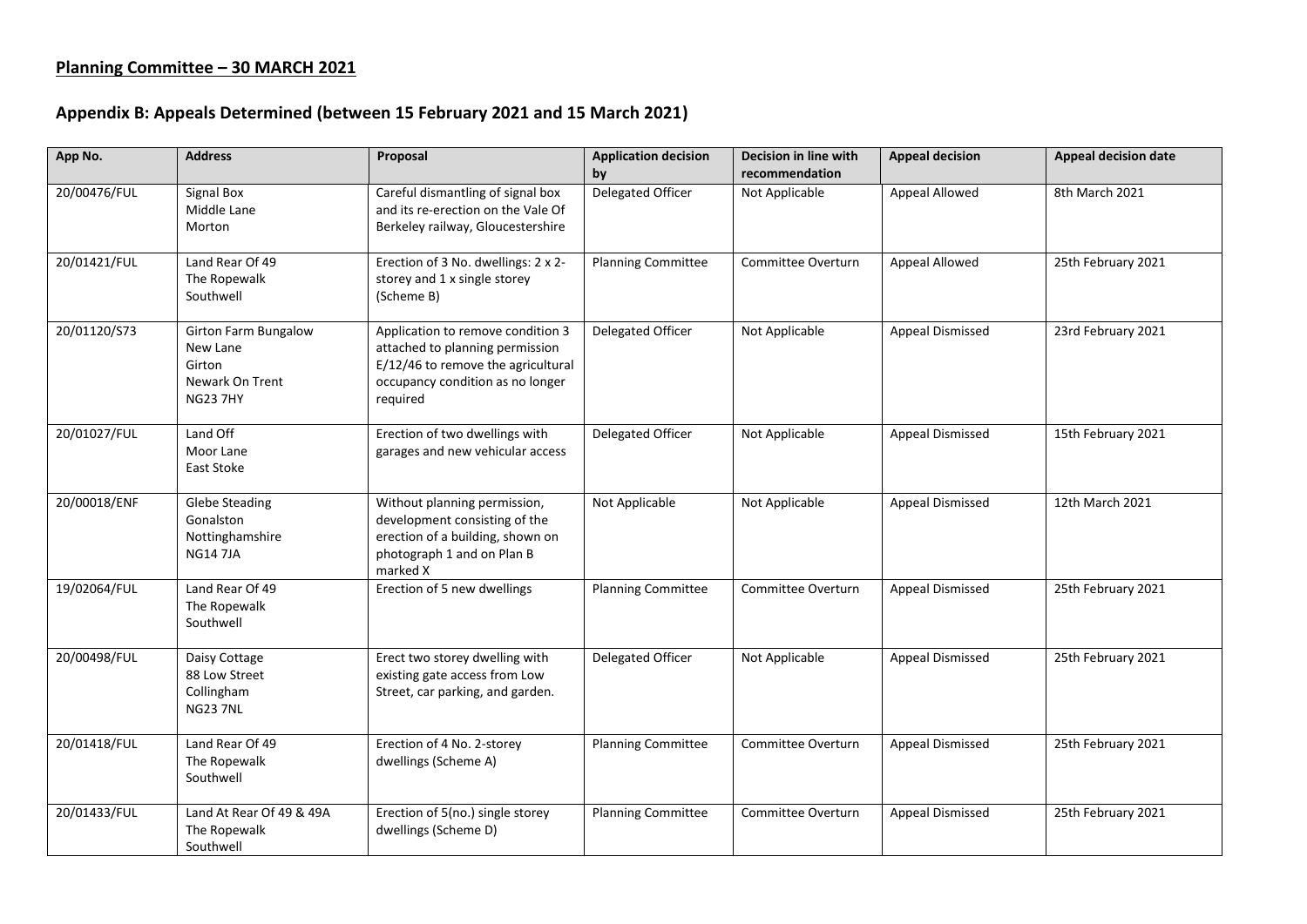## **Planning Committee – 30 MARCH 2021**

## **Appendix B: Appeals Determined (between 15 February 2021 and 15 March 2021)**

| App No.      | <b>Address</b>                                                                          | Proposal                                                                                                                                                   | <b>Application decision</b><br>by | Decision in line with<br>recommendation | <b>Appeal decision</b> | <b>Appeal decision date</b> |
|--------------|-----------------------------------------------------------------------------------------|------------------------------------------------------------------------------------------------------------------------------------------------------------|-----------------------------------|-----------------------------------------|------------------------|-----------------------------|
| 20/00476/FUL | <b>Signal Box</b><br>Middle Lane<br>Morton                                              | Careful dismantling of signal box<br>and its re-erection on the Vale Of<br>Berkeley railway, Gloucestershire                                               | Delegated Officer                 | Not Applicable                          | Appeal Allowed         | 8th March 2021              |
| 20/01421/FUL | Land Rear Of 49<br>The Ropewalk<br>Southwell                                            | Erection of 3 No. dwellings: 2 x 2-<br>storey and 1 x single storey<br>(Scheme B)                                                                          | <b>Planning Committee</b>         | Committee Overturn                      | Appeal Allowed         | 25th February 2021          |
| 20/01120/S73 | <b>Girton Farm Bungalow</b><br>New Lane<br>Girton<br>Newark On Trent<br><b>NG23 7HY</b> | Application to remove condition 3<br>attached to planning permission<br>E/12/46 to remove the agricultural<br>occupancy condition as no longer<br>required | Delegated Officer                 | Not Applicable                          | Appeal Dismissed       | 23rd February 2021          |
| 20/01027/FUL | Land Off<br>Moor Lane<br>East Stoke                                                     | Erection of two dwellings with<br>garages and new vehicular access                                                                                         | Delegated Officer                 | Not Applicable                          | Appeal Dismissed       | 15th February 2021          |
| 20/00018/ENF | <b>Glebe Steading</b><br>Gonalston<br>Nottinghamshire<br><b>NG14 7JA</b>                | Without planning permission,<br>development consisting of the<br>erection of a building, shown on<br>photograph 1 and on Plan B<br>marked X                | Not Applicable                    | Not Applicable                          | Appeal Dismissed       | 12th March 2021             |
| 19/02064/FUL | Land Rear Of 49<br>The Ropewalk<br>Southwell                                            | Erection of 5 new dwellings                                                                                                                                | <b>Planning Committee</b>         | Committee Overturn                      | Appeal Dismissed       | 25th February 2021          |
| 20/00498/FUL | Daisy Cottage<br>88 Low Street<br>Collingham<br><b>NG23 7NL</b>                         | Erect two storey dwelling with<br>existing gate access from Low<br>Street, car parking, and garden.                                                        | Delegated Officer                 | Not Applicable                          | Appeal Dismissed       | 25th February 2021          |
| 20/01418/FUL | Land Rear Of 49<br>The Ropewalk<br>Southwell                                            | Erection of 4 No. 2-storey<br>dwellings (Scheme A)                                                                                                         | <b>Planning Committee</b>         | Committee Overturn                      | Appeal Dismissed       | 25th February 2021          |
| 20/01433/FUL | Land At Rear Of 49 & 49A<br>The Ropewalk<br>Southwell                                   | Erection of 5(no.) single storey<br>dwellings (Scheme D)                                                                                                   | <b>Planning Committee</b>         | Committee Overturn                      | Appeal Dismissed       | 25th February 2021          |